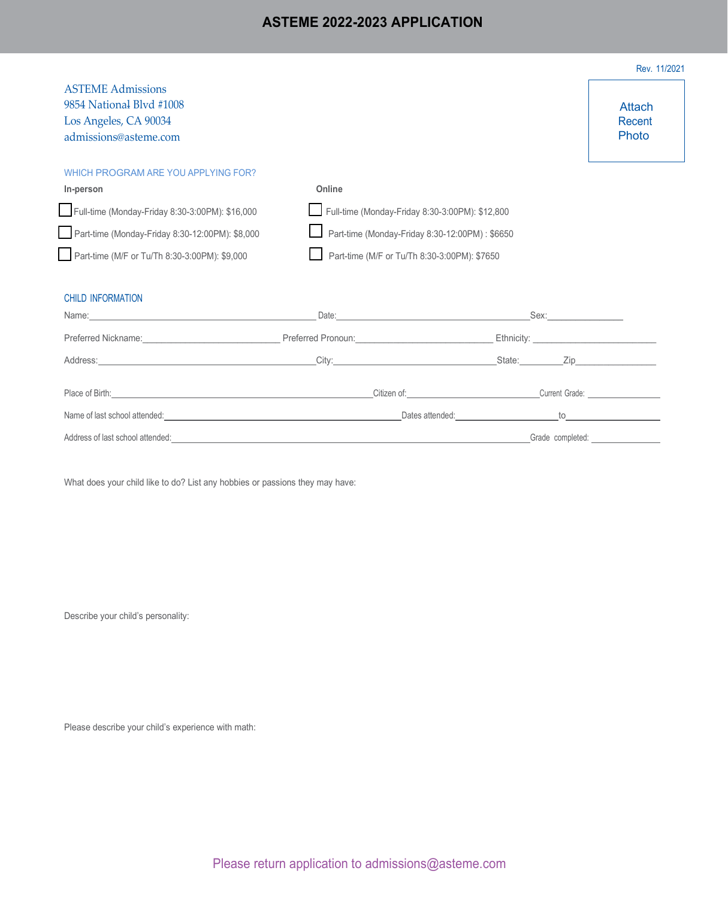## **ASTEME 2022-2023 APPLICATION**

| <b>ASTEME Admissions</b><br>9854 National Blvd #1008<br>Los Angeles, CA 90034<br>admissions@asteme.com                                                                                                                         |                                                 |                                                                                                                                                                                                                                      | Attach<br>Recent<br>Photo             |  |
|--------------------------------------------------------------------------------------------------------------------------------------------------------------------------------------------------------------------------------|-------------------------------------------------|--------------------------------------------------------------------------------------------------------------------------------------------------------------------------------------------------------------------------------------|---------------------------------------|--|
| WHICH PROGRAM ARE YOU APPLYING FOR?                                                                                                                                                                                            |                                                 |                                                                                                                                                                                                                                      |                                       |  |
| In-person                                                                                                                                                                                                                      | Online                                          |                                                                                                                                                                                                                                      |                                       |  |
| Full-time (Monday-Friday 8:30-3:00PM): \$16,000                                                                                                                                                                                | Full-time (Monday-Friday 8:30-3:00PM): \$12,800 |                                                                                                                                                                                                                                      |                                       |  |
| Part-time (Monday-Friday 8:30-12:00PM): \$8,000                                                                                                                                                                                | Part-time (Monday-Friday 8:30-12:00PM) : \$6650 |                                                                                                                                                                                                                                      |                                       |  |
| Part-time (M/F or Tu/Th 8:30-3:00PM): \$9,000                                                                                                                                                                                  | Part-time (M/F or Tu/Th 8:30-3:00PM): \$7650    |                                                                                                                                                                                                                                      |                                       |  |
| <b>CHILD INFORMATION</b>                                                                                                                                                                                                       |                                                 |                                                                                                                                                                                                                                      |                                       |  |
|                                                                                                                                                                                                                                |                                                 |                                                                                                                                                                                                                                      |                                       |  |
| Preferred Nickname: Contract Contract Provide Preferred Pronoun: Contract Contract Contract Contract Contract Pronoun:                                                                                                         |                                                 |                                                                                                                                                                                                                                      |                                       |  |
|                                                                                                                                                                                                                                |                                                 |                                                                                                                                                                                                                                      |                                       |  |
| Place of Birth: Current Grade: Current Grade: Citizen of: Citizen of: Current Grade: Current Grade: Current Grade: Current Grade: Current Grade: Current Grade: Current Grade: Current Grade: Current Grade: Current Grade: Cu |                                                 |                                                                                                                                                                                                                                      |                                       |  |
|                                                                                                                                                                                                                                |                                                 | Dates attended: <u>contract and the set of the set of the set of the set of the set of the set of the set of the set of the set of the set of the set of the set of the set of the set of the set of the set of the set of the s</u> |                                       |  |
| Address of last school attended:                                                                                                                                                                                               |                                                 |                                                                                                                                                                                                                                      | _Grade completed: ___________________ |  |

What does your child like to do? List any hobbies or passions they may have:

Describe your child's personality:

Please describe your child's experience with math: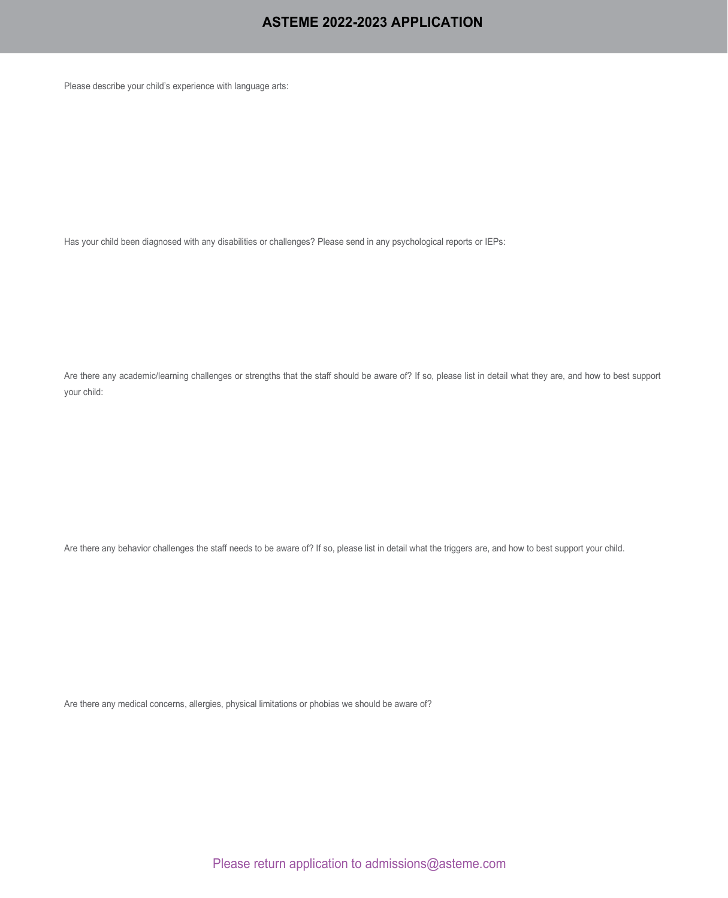Please describe your child's experience with language arts:

Has your child been diagnosed with any disabilities or challenges? Please send in any psychological reports or IEPs:

Are there any academic/learning challenges or strengths that the staff should be aware of? If so, please list in detail what they are, and how to best support your child:

Are there any behavior challenges the staff needs to be aware of? If so, please list in detail what the triggers are, and how to best support your child.

Are there any medical concerns, allergies, physical limitations or phobias we should be aware of?

Please return application to admissions@asteme.com